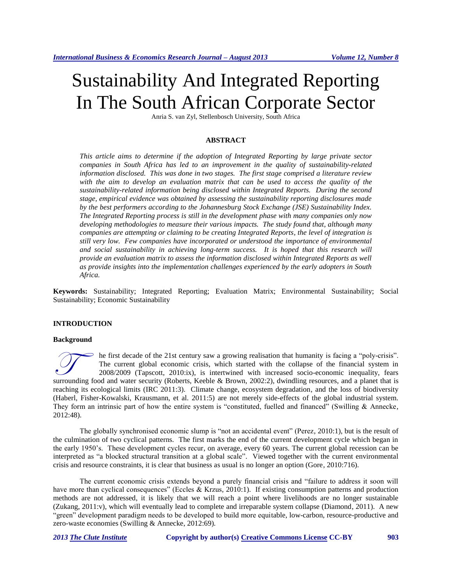# Sustainability And Integrated Reporting In The South African Corporate Sector

Anria S. van Zyl, Stellenbosch University, South Africa

#### **ABSTRACT**

*This article aims to determine if the adoption of Integrated Reporting by large private sector companies in South Africa has led to an improvement in the quality of sustainability-related information disclosed. This was done in two stages. The first stage comprised a literature review*  with the aim to develop an evaluation matrix that can be used to access the quality of the *sustainability-related information being disclosed within Integrated Reports. During the second stage, empirical evidence was obtained by assessing the sustainability reporting disclosures made by the best performers according to the Johannesburg Stock Exchange (JSE) Sustainability Index. The Integrated Reporting process is still in the development phase with many companies only now developing methodologies to measure their various impacts. The study found that, although many companies are attempting or claiming to be creating Integrated Reports, the level of integration is still very low. Few companies have incorporated or understood the importance of environmental*  and social sustainability in achieving long-term success. It is hoped that this research will *provide an evaluation matrix to assess the information disclosed within Integrated Reports as well as provide insights into the implementation challenges experienced by the early adopters in South Africa.*

**Keywords:** Sustainability; Integrated Reporting; Evaluation Matrix; Environmental Sustainability; Social Sustainability; Economic Sustainability

#### **INTRODUCTION**

#### **Background**

he first decade of the 21st century saw a growing realisation that humanity is facing a "poly-crisis". The current global economic crisis, which started with the collapse of the financial system in 2008/2009 (Tapscott, 2010:ix), is intertwined with increased socio-economic inequality, fears Surface of the 21st century saw a growing realisation that humanity is facing a "poly-crisis".<br>The current global economic crisis, which started with the collapse of the financial system in 2008/2009 (Tapscott, 2010:ix), i reaching its ecological limits (IRC 2011:3). Climate change, ecosystem degradation, and the loss of biodiversity (Haberl, Fisher-Kowalski, Krausmann, et al. 2011:5) are not merely side-effects of the global industrial system. They form an intrinsic part of how the entire system is "constituted, fuelled and financed" (Swilling & Annecke, 2012:48).

The globally synchronised economic slump is "not an accidental event" (Perez, 2010:1), but is the result of the culmination of two cyclical patterns. The first marks the end of the current development cycle which began in the early 1950's. These development cycles recur, on average, every 60 years. The current global recession can be interpreted as "a blocked structural transition at a global scale". Viewed together with the current environmental crisis and resource constraints, it is clear that business as usual is no longer an option (Gore, 2010:716).

The current economic crisis extends beyond a purely financial crisis and "failure to address it soon will have more than cyclical consequences" (Eccles & Krzus, 2010:1). If existing consumption patterns and production methods are not addressed, it is likely that we will reach a point where livelihoods are no longer sustainable (Zukang, 2011:v), which will eventually lead to complete and irreparable system collapse (Diamond, 2011). A new "green" development paradigm needs to be developed to build more equitable, low-carbon, resource-productive and zero-waste economies (Swilling & Annecke, 2012:69).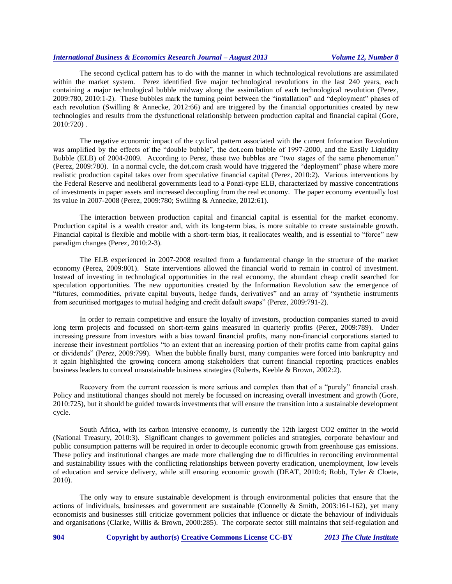The second cyclical pattern has to do with the manner in which technological revolutions are assimilated within the market system. Perez identified five major technological revolutions in the last 240 years, each containing a major technological bubble midway along the assimilation of each technological revolution (Perez, 2009:780, 2010:1-2). These bubbles mark the turning point between the "installation" and "deployment" phases of each revolution (Swilling & Annecke, 2012:66) and are triggered by the financial opportunities created by new technologies and results from the dysfunctional relationship between production capital and financial capital (Gore, 2010:720) .

The negative economic impact of the cyclical pattern associated with the current Information Revolution was amplified by the effects of the "double bubble", the dot.com bubble of 1997-2000, and the Easily Liquidity Bubble (ELB) of 2004-2009. According to Perez, these two bubbles are "two stages of the same phenomenon" (Perez, 2009:780). In a normal cycle, the dot.com crash would have triggered the "deployment" phase where more realistic production capital takes over from speculative financial capital (Perez, 2010:2). Various interventions by the Federal Reserve and neoliberal governments lead to a Ponzi-type ELB, characterized by massive concentrations of investments in paper assets and increased decoupling from the real economy. The paper economy eventually lost its value in 2007-2008 (Perez, 2009:780; Swilling & Annecke, 2012:61).

The interaction between production capital and financial capital is essential for the market economy. Production capital is a wealth creator and, with its long-term bias, is more suitable to create sustainable growth. Financial capital is flexible and mobile with a short-term bias, it reallocates wealth, and is essential to "force" new paradigm changes (Perez, 2010:2-3).

The ELB experienced in 2007-2008 resulted from a fundamental change in the structure of the market economy (Perez, 2009:801). State interventions allowed the financial world to remain in control of investment. Instead of investing in technological opportunities in the real economy, the abundant cheap credit searched for speculation opportunities. The new opportunities created by the Information Revolution saw the emergence of "futures, commodities, private capital buyouts, hedge funds, derivatives" and an array of "synthetic instruments from securitised mortgages to mutual hedging and credit default swaps" (Perez, 2009:791-2).

In order to remain competitive and ensure the loyalty of investors, production companies started to avoid long term projects and focussed on short-term gains measured in quarterly profits (Perez, 2009:789). Under increasing pressure from investors with a bias toward financial profits, many non-financial corporations started to increase their investment portfolios "to an extent that an increasing portion of their profits came from capital gains or dividends" (Perez, 2009:799). When the bubble finally burst, many companies were forced into bankruptcy and it again highlighted the growing concern among stakeholders that current financial reporting practices enables business leaders to conceal unsustainable business strategies (Roberts, Keeble & Brown, 2002:2).

Recovery from the current recession is more serious and complex than that of a "purely" financial crash. Policy and institutional changes should not merely be focussed on increasing overall investment and growth (Gore, 2010:725), but it should be guided towards investments that will ensure the transition into a sustainable development cycle.

South Africa, with its carbon intensive economy, is currently the 12th largest CO2 emitter in the world (National Treasury, 2010:3). Significant changes to government policies and strategies, corporate behaviour and public consumption patterns will be required in order to decouple economic growth from greenhouse gas emissions. These policy and institutional changes are made more challenging due to difficulties in reconciling environmental and sustainability issues with the conflicting relationships between poverty eradication, unemployment, low levels of education and service delivery, while still ensuring economic growth (DEAT, 2010:4; Robb, Tyler & Cloete, 2010).

The only way to ensure sustainable development is through environmental policies that ensure that the actions of individuals, businesses and government are sustainable (Connelly & Smith, 2003:161-162), yet many economists and businesses still criticize government policies that influence or dictate the behaviour of individuals and organisations (Clarke, Willis & Brown, 2000:285). The corporate sector still maintains that self-regulation and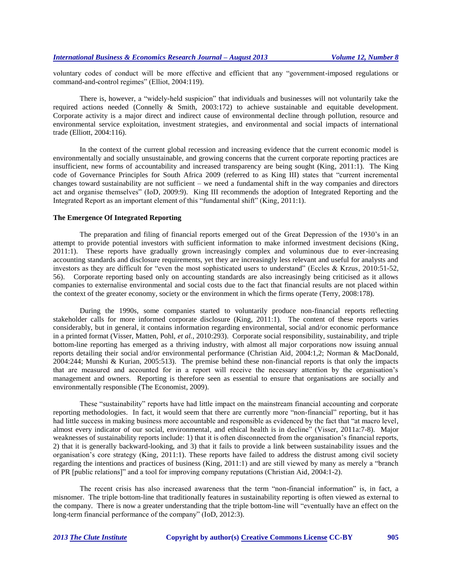voluntary codes of conduct will be more effective and efficient that any "government-imposed regulations or command-and-control regimes" (Elliot, 2004:119).

There is, however, a "widely-held suspicion" that individuals and businesses will not voluntarily take the required actions needed (Connelly & Smith, 2003:172) to achieve sustainable and equitable development. Corporate activity is a major direct and indirect cause of environmental decline through pollution, resource and environmental service exploitation, investment strategies, and environmental and social impacts of international trade (Elliott, 2004:116).

In the context of the current global recession and increasing evidence that the current economic model is environmentally and socially unsustainable, and growing concerns that the current corporate reporting practices are insufficient, new forms of accountability and increased transparency are being sought (King, 2011:1). The King code of Governance Principles for South Africa 2009 (referred to as King III) states that "current incremental changes toward sustainability are not sufficient – we need a fundamental shift in the way companies and directors act and organise themselves" (IoD, 2009:9). King III recommends the adoption of Integrated Reporting and the Integrated Report as an important element of this "fundamental shift" (King, 2011:1).

#### **The Emergence Of Integrated Reporting**

The preparation and filing of financial reports emerged out of the Great Depression of the 1930's in an attempt to provide potential investors with sufficient information to make informed investment decisions (King, 2011:1). These reports have gradually grown increasingly complex and voluminous due to ever-increasing accounting standards and disclosure requirements, yet they are increasingly less relevant and useful for analysts and investors as they are difficult for "even the most sophisticated users to understand" (Eccles & Krzus, 2010:51-52, 56). Corporate reporting based only on accounting standards are also increasingly being criticised as it allows companies to externalise environmental and social costs due to the fact that financial results are not placed within the context of the greater economy, society or the environment in which the firms operate (Terry, 2008:178).

During the 1990s, some companies started to voluntarily produce non-financial reports reflecting stakeholder calls for more informed corporate disclosure (King, 2011:1). The content of these reports varies considerably, but in general, it contains information regarding environmental, social and/or economic performance in a printed format (Visser, Matten, Pohl, *et al.*, 2010:293). Corporate social responsibility, sustainability, and triple bottom-line reporting has emerged as a thriving industry, with almost all major corporations now issuing annual reports detailing their social and/or environmental performance (Christian Aid, 2004:1,2; Norman & MacDonald, 2004:244; Munshi & Kurian, 2005:513). The premise behind these non-financial reports is that only the impacts that are measured and accounted for in a report will receive the necessary attention by the organisation's management and owners. Reporting is therefore seen as essential to ensure that organisations are socially and environmentally responsible (The Economist, 2009).

These "sustainability" reports have had little impact on the mainstream financial accounting and corporate reporting methodologies. In fact, it would seem that there are currently more "non-financial" reporting, but it has had little success in making business more accountable and responsible as evidenced by the fact that "at macro level, almost every indicator of our social, environmental, and ethical health is in decline" (Visser, 2011a:7-8). Major weaknesses of sustainability reports include: 1) that it is often disconnected from the organisation's financial reports, 2) that it is generally backward-looking, and 3) that it fails to provide a link between sustainability issues and the organisation's core strategy (King, 2011:1). These reports have failed to address the distrust among civil society regarding the intentions and practices of business (King, 2011:1) and are still viewed by many as merely a "branch of PR [public relations]" and a tool for improving company reputations (Christian Aid, 2004:1-2).

The recent crisis has also increased awareness that the term "non-financial information" is, in fact, a misnomer. The triple bottom-line that traditionally features in sustainability reporting is often viewed as external to the company. There is now a greater understanding that the triple bottom-line will "eventually have an effect on the long-term financial performance of the company" (IoD, 2012:3).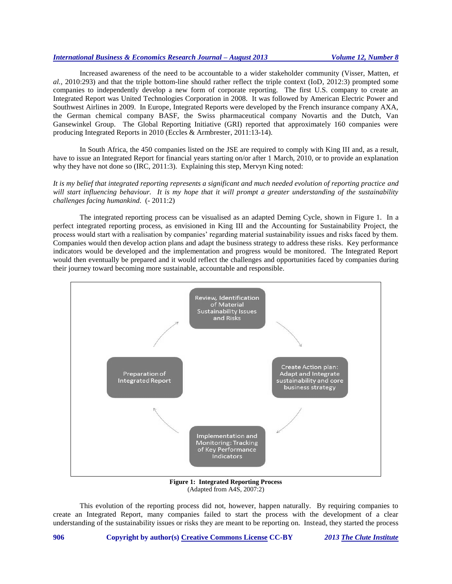Increased awareness of the need to be accountable to a wider stakeholder community (Visser, Matten, *et al.,* 2010:293) and that the triple bottom-line should rather reflect the triple context (IoD, 2012:3) prompted some companies to independently develop a new form of corporate reporting. The first U.S. company to create an Integrated Report was United Technologies Corporation in 2008. It was followed by American Electric Power and Southwest Airlines in 2009. In Europe, Integrated Reports were developed by the French insurance company AXA, the German chemical company BASF, the Swiss pharmaceutical company Novartis and the Dutch, Van Gansewinkel Group. The Global Reporting Initiative (GRI) reported that approximately 160 companies were producing Integrated Reports in 2010 (Eccles & Armbrester, 2011:13-14).

In South Africa, the 450 companies listed on the JSE are required to comply with King III and, as a result, have to issue an Integrated Report for financial years starting on/or after 1 March, 2010, or to provide an explanation why they have not done so (IRC, 2011:3). Explaining this step, Mervyn King noted:

*It is my belief that integrated reporting represents a significant and much needed evolution of reporting practice and will start influencing behaviour. It is my hope that it will prompt a greater understanding of the sustainability challenges facing humankind.* (- 2011:2)

The integrated reporting process can be visualised as an adapted Deming Cycle, shown in Figure 1. In a perfect integrated reporting process, as envisioned in King III and the Accounting for Sustainability Project, the process would start with a realisation by companies' regarding material sustainability issues and risks faced by them. Companies would then develop action plans and adapt the business strategy to address these risks. Key performance indicators would be developed and the implementation and progress would be monitored. The Integrated Report would then eventually be prepared and it would reflect the challenges and opportunities faced by companies during their journey toward becoming more sustainable, accountable and responsible.



**Figure 1: Integrated Reporting Process** (Adapted from A4S, 2007:2)

This evolution of the reporting process did not, however, happen naturally. By requiring companies to create an Integrated Report, many companies failed to start the process with the development of a clear understanding of the sustainability issues or risks they are meant to be reporting on. Instead, they started the process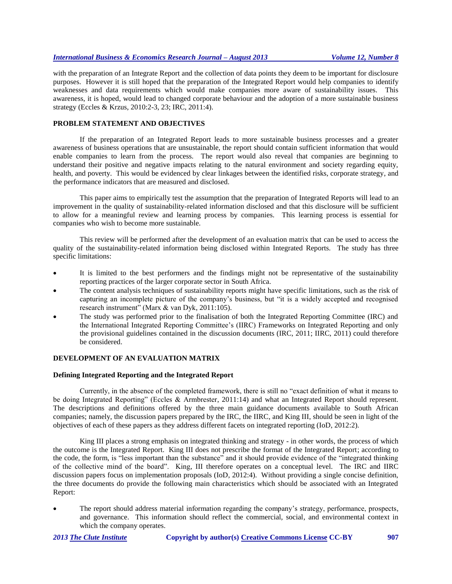with the preparation of an Integrate Report and the collection of data points they deem to be important for disclosure purposes. However it is still hoped that the preparation of the Integrated Report would help companies to identify weaknesses and data requirements which would make companies more aware of sustainability issues. This awareness, it is hoped, would lead to changed corporate behaviour and the adoption of a more sustainable business strategy (Eccles & Krzus, 2010:2-3, 23; IRC, 2011:4).

# **PROBLEM STATEMENT AND OBJECTIVES**

If the preparation of an Integrated Report leads to more sustainable business processes and a greater awareness of business operations that are unsustainable, the report should contain sufficient information that would enable companies to learn from the process. The report would also reveal that companies are beginning to understand their positive and negative impacts relating to the natural environment and society regarding equity, health, and poverty. This would be evidenced by clear linkages between the identified risks, corporate strategy, and the performance indicators that are measured and disclosed.

This paper aims to empirically test the assumption that the preparation of Integrated Reports will lead to an improvement in the quality of sustainability-related information disclosed and that this disclosure will be sufficient to allow for a meaningful review and learning process by companies. This learning process is essential for companies who wish to become more sustainable.

This review will be performed after the development of an evaluation matrix that can be used to access the quality of the sustainability-related information being disclosed within Integrated Reports. The study has three specific limitations:

- It is limited to the best performers and the findings might not be representative of the sustainability reporting practices of the larger corporate sector in South Africa.
- The content analysis techniques of sustainability reports might have specific limitations, such as the risk of capturing an incomplete picture of the company's business, but "it is a widely accepted and recognised research instrument" (Marx & van Dyk, 2011:105).
- The study was performed prior to the finalisation of both the Integrated Reporting Committee (IRC) and the International Integrated Reporting Committee's (IIRC) Frameworks on Integrated Reporting and only the provisional guidelines contained in the discussion documents (IRC, 2011; IIRC, 2011) could therefore be considered.

#### **DEVELOPMENT OF AN EVALUATION MATRIX**

#### **Defining Integrated Reporting and the Integrated Report**

Currently, in the absence of the completed framework, there is still no "exact definition of what it means to be doing Integrated Reporting" (Eccles & Armbrester, 2011:14) and what an Integrated Report should represent. The descriptions and definitions offered by the three main guidance documents available to South African companies; namely, the discussion papers prepared by the IRC, the IIRC, and King III, should be seen in light of the objectives of each of these papers as they address different facets on integrated reporting (IoD, 2012:2).

King III places a strong emphasis on integrated thinking and strategy - in other words, the process of which the outcome is the Integrated Report. King III does not prescribe the format of the Integrated Report; according to the code, the form, is "less important than the substance" and it should provide evidence of the "integrated thinking of the collective mind of the board". King, III therefore operates on a conceptual level. The IRC and IIRC discussion papers focus on implementation proposals (IoD, 2012:4). Without providing a single concise definition, the three documents do provide the following main characteristics which should be associated with an Integrated Report:

 The report should address material information regarding the company's strategy, performance, prospects, and governance. This information should reflect the commercial, social, and environmental context in which the company operates.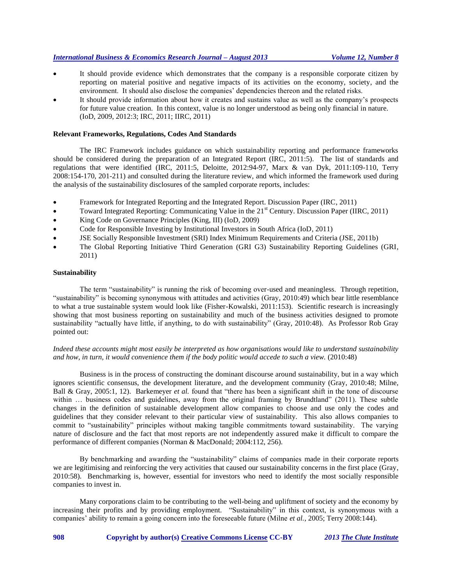- It should provide evidence which demonstrates that the company is a responsible corporate citizen by reporting on material positive and negative impacts of its activities on the economy, society, and the environment. It should also disclose the companies' dependencies thereon and the related risks.
- It should provide information about how it creates and sustains value as well as the company's prospects for future value creation. In this context, value is no longer understood as being only financial in nature. (IoD, 2009, 2012:3; IRC, 2011; IIRC, 2011)

#### **Relevant Frameworks, Regulations, Codes And Standards**

The IRC Framework includes guidance on which sustainability reporting and performance frameworks should be considered during the preparation of an Integrated Report (IRC, 2011:5). The list of standards and regulations that were identified (IRC, 2011:5, Deloitte, 2012:94-97, Marx & van Dyk, 2011:109-110, Terry 2008:154-170, 201-211) and consulted during the literature review, and which informed the framework used during the analysis of the sustainability disclosures of the sampled corporate reports, includes:

- Framework for Integrated Reporting and the Integrated Report. Discussion Paper (IRC, 2011)
- Toward Integrated Reporting: Communicating Value in the 21<sup>st</sup> Century. Discussion Paper (IIRC, 2011)
- King Code on Governance Principles (King, III) (IoD, 2009)
- Code for Responsible Investing by Institutional Investors in South Africa (IoD, 2011)
- JSE Socially Responsible Investment (SRI) Index Minimum Requirements and Criteria (JSE, 2011b)
- The Global Reporting Initiative Third Generation (GRI G3) Sustainability Reporting Guidelines (GRI, 2011)

#### **Sustainability**

The term "sustainability" is running the risk of becoming over-used and meaningless. Through repetition, "sustainability" is becoming synonymous with attitudes and activities (Gray, 2010:49) which bear little resemblance to what a true sustainable system would look like (Fisher-Kowalski, 2011:153). Scientific research is increasingly showing that most business reporting on sustainability and much of the business activities designed to promote sustainability "actually have little, if anything, to do with sustainability" (Gray, 2010:48). As Professor Rob Gray pointed out:

# *Indeed these accounts might most easily be interpreted as how organisations would like to understand sustainability*  and how, in turn, it would convenience them if the body politic would accede to such a view. (2010:48)

Business is in the process of constructing the dominant discourse around sustainability, but in a way which ignores scientific consensus, the development literature, and the development community (Gray, 2010:48; Milne, Ball & Gray, 2005:1, 12). Barkemeyer *et al.* found that "there has been a significant shift in the tone of discourse within ... business codes and guidelines, away from the original framing by Brundtland" (2011). These subtle changes in the definition of sustainable development allow companies to choose and use only the codes and guidelines that they consider relevant to their particular view of sustainability. This also allows companies to commit to "sustainability" principles without making tangible commitments toward sustainability. The varying nature of disclosure and the fact that most reports are not independently assured make it difficult to compare the performance of different companies (Norman & MacDonald; 2004:112, 256).

By benchmarking and awarding the "sustainability" claims of companies made in their corporate reports we are legitimising and reinforcing the very activities that caused our sustainability concerns in the first place (Gray, 2010:58). Benchmarking is, however, essential for investors who need to identify the most socially responsible companies to invest in.

Many corporations claim to be contributing to the well-being and upliftment of society and the economy by increasing their profits and by providing employment. "Sustainability" in this context, is synonymous with a companies' ability to remain a going concern into the foreseeable future (Milne *et al.*, 2005; Terry 2008:144).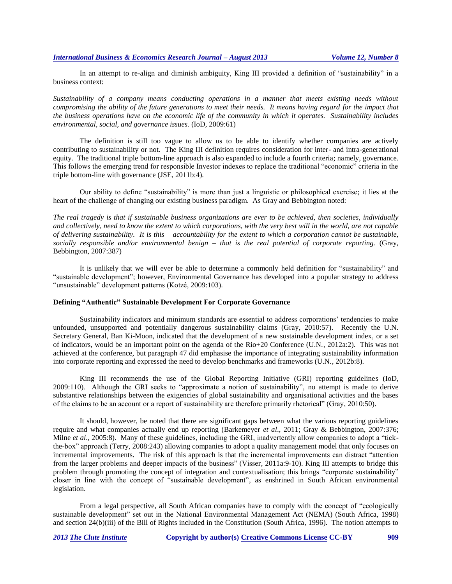In an attempt to re-align and diminish ambiguity, King III provided a definition of "sustainability" in a business context:

*Sustainability of a company means conducting operations in a manner that meets existing needs without compromising the ability of the future generations to meet their needs. It means having regard for the impact that the business operations have on the economic life of the community in which it operates. Sustainability includes environmental, social, and governance issues.* (IoD, 2009:61)

The definition is still too vague to allow us to be able to identify whether companies are actively contributing to sustainability or not. The King III definition requires consideration for inter- and intra-generational equity. The traditional triple bottom-line approach is also expanded to include a fourth criteria; namely, governance. This follows the emerging trend for responsible Investor indexes to replace the traditional "economic" criteria in the triple bottom-line with governance (JSE, 2011b:4).

Our ability to define "sustainability" is more than just a linguistic or philosophical exercise; it lies at the heart of the challenge of changing our existing business paradigm. As Gray and Bebbington noted:

*The real tragedy is that if sustainable business organizations are ever to be achieved, then societies, individually and collectively, need to know the extent to which corporations, with the very best will in the world, are not capable of delivering sustainability. It is this – accountability for the extent to which a corporation cannot be sustainable, socially responsible and/or environmental benign – that is the real potential of corporate reporting.* (Gray, Bebbington, 2007:387)

It is unlikely that we will ever be able to determine a commonly held definition for "sustainability" and "sustainable development"; however, Environmental Governance has developed into a popular strategy to address "unsustainable" development patterns (Kotzé, 2009:103).

#### **Defining "Authentic" Sustainable Development For Corporate Governance**

Sustainability indicators and minimum standards are essential to address corporations' tendencies to make unfounded, unsupported and potentially dangerous sustainability claims (Gray, 2010:57). Recently the U.N. Secretary General, Ban Ki-Moon, indicated that the development of a new sustainable development index, or a set of indicators, would be an important point on the agenda of the Rio+20 Conference (U.N., 2012a:2). This was not achieved at the conference, but paragraph 47 did emphasise the importance of integrating sustainability information into corporate reporting and expressed the need to develop benchmarks and frameworks (U.N., 2012b:8).

King III recommends the use of the Global Reporting Initiative (GRI) reporting guidelines (IoD, 2009:110). Although the GRI seeks to "approximate a notion of sustainability", no attempt is made to derive substantive relationships between the exigencies of global sustainability and organisational activities and the bases of the claims to be an account or a report of sustainability are therefore primarily rhetorical" (Gray, 2010:50).

It should, however, be noted that there are significant gaps between what the various reporting guidelines require and what companies actually end up reporting (Barkemeyer *et al*., 2011; Gray & Bebbington, 2007:376; Milne *et al*., 2005:8). Many of these guidelines, including the GRI, inadvertently allow companies to adopt a "tickthe-box" approach (Terry, 2008:243) allowing companies to adopt a quality management model that only focuses on incremental improvements. The risk of this approach is that the incremental improvements can distract "attention from the larger problems and deeper impacts of the business" (Visser, 2011a:9-10). King III attempts to bridge this problem through promoting the concept of integration and contextualisation; this brings "corporate sustainability" closer in line with the concept of "sustainable development", as enshrined in South African environmental legislation.

From a legal perspective, all South African companies have to comply with the concept of "ecologically sustainable development" set out in the National Environmental Management Act (NEMA) (South Africa, 1998) and section 24(b)(iii) of the Bill of Rights included in the Constitution (South Africa, 1996). The notion attempts to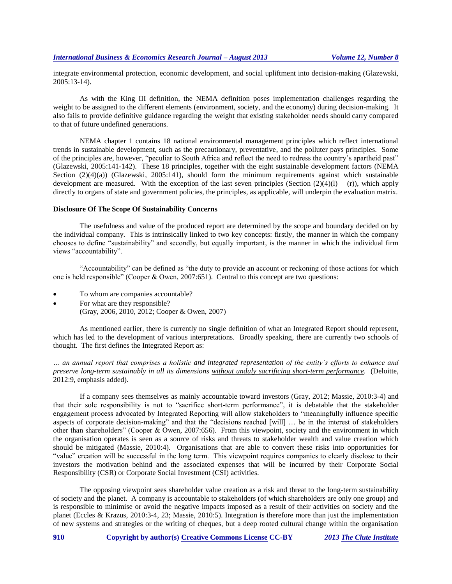integrate environmental protection, economic development, and social upliftment into decision-making (Glazewski, 2005:13-14).

As with the King III definition, the NEMA definition poses implementation challenges regarding the weight to be assigned to the different elements (environment, society, and the economy) during decision-making. It also fails to provide definitive guidance regarding the weight that existing stakeholder needs should carry compared to that of future undefined generations.

NEMA chapter 1 contains 18 national environmental management principles which reflect international trends in sustainable development, such as the precautionary, preventative, and the polluter pays principles. Some of the principles are, however, "peculiar to South Africa and reflect the need to redress the country's apartheid past" (Glazewski, 2005:141-142). These 18 principles, together with the eight sustainable development factors (NEMA Section  $(2)(4)(a)$ ) (Glazewski, 2005:141), should form the minimum requirements against which sustainable development are measured. With the exception of the last seven principles (Section  $(2)(4)(1) - (r)$ ), which apply directly to organs of state and government policies, the principles, as applicable, will underpin the evaluation matrix.

#### **Disclosure Of The Scope Of Sustainability Concerns**

The usefulness and value of the produced report are determined by the scope and boundary decided on by the individual company. This is intrinsically linked to two key concepts: firstly, the manner in which the company chooses to define "sustainability" and secondly, but equally important, is the manner in which the individual firm views "accountability".

"Accountability" can be defined as "the duty to provide an account or reckoning of those actions for which one is held responsible" (Cooper & Owen, 2007:651). Central to this concept are two questions:

- To whom are companies accountable?
- For what are they responsible?
	- (Gray, 2006, 2010, 2012; Cooper & Owen, 2007)

As mentioned earlier, there is currently no single definition of what an Integrated Report should represent, which has led to the development of various interpretations. Broadly speaking, there are currently two schools of thought. The first defines the Integrated Report as:

*… an annual report that comprises a holistic and integrated representation of the entity's efforts to enhance and preserve long-term sustainably in all its dimensions without unduly sacrificing short-term performance.* (Deloitte, 2012:9, emphasis added).

If a company sees themselves as mainly accountable toward investors (Gray, 2012; Massie, 2010:3-4) and that their sole responsibility is not to "sacrifice short-term performance", it is debatable that the stakeholder engagement process advocated by Integrated Reporting will allow stakeholders to "meaningfully influence specific aspects of corporate decision-making" and that the "decisions reached [will] … be in the interest of stakeholders other than shareholders" (Cooper & Owen, 2007:656). From this viewpoint, society and the environment in which the organisation operates is seen as a source of risks and threats to stakeholder wealth and value creation which should be mitigated (Massie, 2010:4). Organisations that are able to convert these risks into opportunities for "value" creation will be successful in the long term. This viewpoint requires companies to clearly disclose to their investors the motivation behind and the associated expenses that will be incurred by their Corporate Social Responsibility (CSR) or Corporate Social Investment (CSI) activities.

The opposing viewpoint sees shareholder value creation as a risk and threat to the long-term sustainability of society and the planet. A company is accountable to stakeholders (of which shareholders are only one group) and is responsible to minimise or avoid the negative impacts imposed as a result of their activities on society and the planet (Eccles & Krazus, 2010:3-4, 23; Massie, 2010:5). Integration is therefore more than just the implementation of new systems and strategies or the writing of cheques, but a deep rooted cultural change within the organisation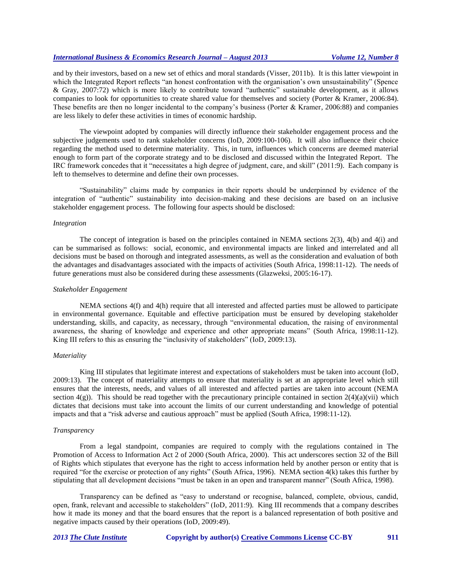and by their investors, based on a new set of ethics and moral standards (Visser, 2011b). It is this latter viewpoint in which the Integrated Report reflects "an honest confrontation with the organisation's own unsustainability" (Spence & Gray, 2007:72) which is more likely to contribute toward "authentic" sustainable development, as it allows companies to look for opportunities to create shared value for themselves and society (Porter & Kramer, 2006:84). These benefits are then no longer incidental to the company's business (Porter & Kramer, 2006:88) and companies are less likely to defer these activities in times of economic hardship.

The viewpoint adopted by companies will directly influence their stakeholder engagement process and the subjective judgements used to rank stakeholder concerns (IoD, 2009:100-106). It will also influence their choice regarding the method used to determine materiality. This, in turn, influences which concerns are deemed material enough to form part of the corporate strategy and to be disclosed and discussed within the Integrated Report. The IRC framework concedes that it "necessitates a high degree of judgment, care, and skill" (2011:9). Each company is left to themselves to determine and define their own processes.

"Sustainability" claims made by companies in their reports should be underpinned by evidence of the integration of "authentic" sustainability into decision-making and these decisions are based on an inclusive stakeholder engagement process. The following four aspects should be disclosed:

#### *Integration*

The concept of integration is based on the principles contained in NEMA sections 2(3), 4(b) and 4(i) and can be summarised as follows: social, economic, and environmental impacts are linked and interrelated and all decisions must be based on thorough and integrated assessments, as well as the consideration and evaluation of both the advantages and disadvantages associated with the impacts of activities (South Africa, 1998:11-12). The needs of future generations must also be considered during these assessments (Glazweksi, 2005:16-17).

#### *Stakeholder Engagement*

NEMA sections 4(f) and 4(h) require that all interested and affected parties must be allowed to participate in environmental governance. Equitable and effective participation must be ensured by developing stakeholder understanding, skills, and capacity, as necessary, through "environmental education, the raising of environmental awareness, the sharing of knowledge and experience and other appropriate means" (South Africa, 1998:11-12). King III refers to this as ensuring the "inclusivity of stakeholders" (IoD, 2009:13).

#### *Materiality*

King III stipulates that legitimate interest and expectations of stakeholders must be taken into account (IoD, 2009:13). The concept of materiality attempts to ensure that materiality is set at an appropriate level which still ensures that the interests, needs, and values of all interested and affected parties are taken into account (NEMA section  $4(g)$ ). This should be read together with the precautionary principle contained in section  $2(4)(a)(vi)$  which dictates that decisions must take into account the limits of our current understanding and knowledge of potential impacts and that a "risk adverse and cautious approach" must be applied (South Africa, 1998:11-12).

#### *Transparency*

From a legal standpoint, companies are required to comply with the regulations contained in The Promotion of Access to Information Act 2 of 2000 (South Africa, 2000). This act underscores section 32 of the Bill of Rights which stipulates that everyone has the right to access information held by another person or entity that is required "for the exercise or protection of any rights" (South Africa, 1996). NEMA section 4(k) takes this further by stipulating that all development decisions "must be taken in an open and transparent manner" (South Africa, 1998).

Transparency can be defined as "easy to understand or recognise, balanced, complete, obvious, candid, open, frank, relevant and accessible to stakeholders" (IoD, 2011:9). King III recommends that a company describes how it made its money and that the board ensures that the report is a balanced representation of both positive and negative impacts caused by their operations (IoD, 2009:49).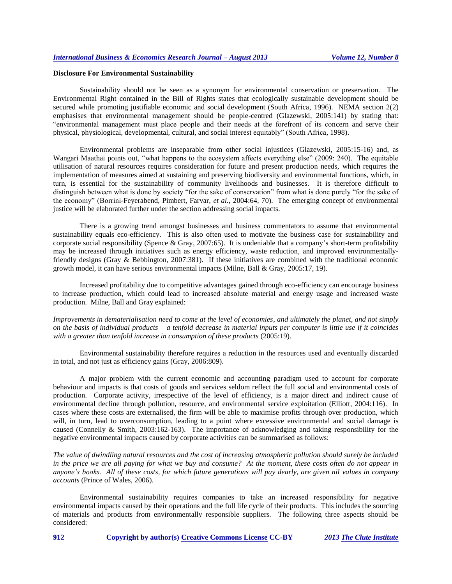#### **Disclosure For Environmental Sustainability**

Sustainability should not be seen as a synonym for environmental conservation or preservation. The Environmental Right contained in the Bill of Rights states that ecologically sustainable development should be secured while promoting justifiable economic and social development (South Africa, 1996). NEMA section 2(2) emphasises that environmental management should be people-centred (Glazewski, 2005:141) by stating that: "environmental management must place people and their needs at the forefront of its concern and serve their physical, physiological, developmental, cultural, and social interest equitably" (South Africa, 1998).

Environmental problems are inseparable from other social injustices (Glazewski, 2005:15-16) and, as Wangari Maathai points out, "what happens to the ecosystem affects everything else" (2009: 240). The equitable utilisation of natural resources requires consideration for future and present production needs, which requires the implementation of measures aimed at sustaining and preserving biodiversity and environmental functions, which, in turn, is essential for the sustainability of community livelihoods and businesses. It is therefore difficult to distinguish between what is done by society "for the sake of conservation" from what is done purely "for the sake of the economy" (Borrini-Feyerabend, Pimbert, Farvar, *et al.*, 2004:64, 70). The emerging concept of environmental justice will be elaborated further under the section addressing social impacts.

There is a growing trend amongst businesses and business commentators to assume that environmental sustainability equals eco-efficiency. This is also often used to motivate the business case for sustainability and corporate social responsibility (Spence & Gray, 2007:65). It is undeniable that a company's short-term profitability may be increased through initiatives such as energy efficiency, waste reduction, and improved environmentallyfriendly designs (Gray & Bebbington, 2007:381). If these initiatives are combined with the traditional economic growth model, it can have serious environmental impacts (Milne, Ball & Gray, 2005:17, 19).

Increased profitability due to competitive advantages gained through eco-efficiency can encourage business to increase production, which could lead to increased absolute material and energy usage and increased waste production. Milne, Ball and Gray explained:

*Improvements in dematerialisation need to come at the level of economies, and ultimately the planet, and not simply on the basis of individual products – a tenfold decrease in material inputs per computer is little use if it coincides*  with a greater than tenfold increase in consumption of these products (2005:19).

Environmental sustainability therefore requires a reduction in the resources used and eventually discarded in total, and not just as efficiency gains (Gray, 2006:809).

A major problem with the current economic and accounting paradigm used to account for corporate behaviour and impacts is that costs of goods and services seldom reflect the full social and environmental costs of production. Corporate activity, irrespective of the level of efficiency, is a major direct and indirect cause of environmental decline through pollution, resource, and environmental service exploitation (Elliott, 2004:116). In cases where these costs are externalised, the firm will be able to maximise profits through over production, which will, in turn, lead to overconsumption, leading to a point where excessive environmental and social damage is caused (Connelly & Smith, 2003:162-163). The importance of acknowledging and taking responsibility for the negative environmental impacts caused by corporate activities can be summarised as follows:

*The value of dwindling natural resources and the cost of increasing atmospheric pollution should surely be included in the price we are all paying for what we buy and consume? At the moment, these costs often do not appear in anyone's books. All of these costs, for which future generations will pay dearly, are given nil values in company accounts* (Prince of Wales, 2006).

Environmental sustainability requires companies to take an increased responsibility for negative environmental impacts caused by their operations and the full life cycle of their products. This includes the sourcing of materials and products from environmentally responsible suppliers. The following three aspects should be considered: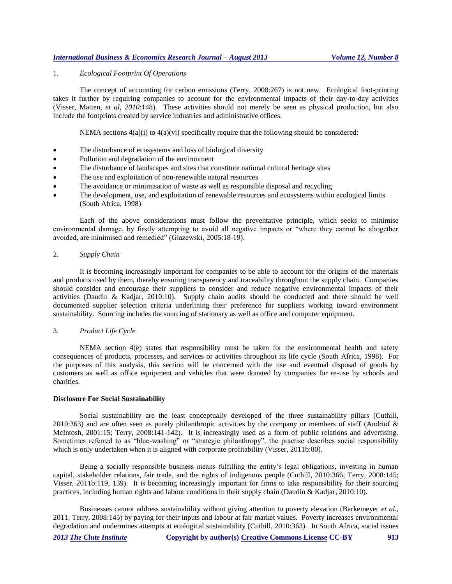# 1. *Ecological Footprint Of Operations*

The concept of accounting for carbon emissions (Terry, 2008:267) is not new. Ecological foot-printing takes it further by requiring companies to account for the environmental impacts of their day-to-day activities (Visser, Matten, *et al, 2010*:148). These activities should not merely be seen as physical production, but also include the footprints created by service industries and administrative offices.

NEMA sections  $4(a)(i)$  to  $4(a)(vi)$  specifically require that the following should be considered:

- The disturbance of ecosystems and loss of biological diversity
- Pollution and degradation of the environment
- The disturbance of landscapes and sites that constitute national cultural heritage sites
- The use and exploitation of non-renewable natural resources
- The avoidance or minimisation of waste as well as responsible disposal and recycling
- The development, use, and exploitation of renewable resources and ecosystems within ecological limits (South Africa, 1998)

Each of the above considerations must follow the preventative principle, which seeks to minimise environmental damage, by firstly attempting to avoid all negative impacts or "where they cannot be altogether avoided, are minimised and remedied" (Glazewski, 2005:18-19).

# 2. *Supply Chain*

It is becoming increasingly important for companies to be able to account for the origins of the materials and products used by them, thereby ensuring transparency and traceability throughout the supply chain. Companies should consider and encourage their suppliers to consider and reduce negative environmental impacts of their activities (Daudin & Kadjar, 2010:10). Supply chain audits should be conducted and there should be well documented supplier selection criteria underlining their preference for suppliers working toward environment sustainability. Sourcing includes the sourcing of stationary as well as office and computer equipment.

#### 3. *Product Life Cycle*

NEMA section 4(e) states that responsibility must be taken for the environmental health and safety consequences of products, processes, and services or activities throughout its life cycle (South Africa, 1998). For the purposes of this analysis, this section will be concerned with the use and eventual disposal of goods by customers as well as office equipment and vehicles that were donated by companies for re-use by schools and charities.

#### **Disclosure For Social Sustainability**

Social sustainability are the least conceptually developed of the three sustainability pillars (Cuthill, 2010:363) and are often seen as purely philanthropic activities by the company or members of staff (Andriof  $\&$ McIntosh, 2001:15; Terry, 2008:141-142). It is increasingly used as a form of public relations and advertising. Sometimes referred to as "blue-washing" or "strategic philanthropy", the practise describes social responsibility which is only undertaken when it is aligned with corporate profitability (Visser, 2011b:80).

Being a socially responsible business means fulfilling the entity's legal obligations, investing in human capital, stakeholder relations, fair trade, and the rights of indigenous people (Cuthill, 2010:366; Terry, 2008:145; Visser, 2011b:119, 139). It is becoming increasingly important for firms to take responsibility for their sourcing practices, including human rights and labour conditions in their supply chain (Daudin & Kadjar, 2010:10).

Businesses cannot address sustainability without giving attention to poverty elevation (Barkemeyer *et al.,* 2011; Terry, 2008:145) by paying for their inputs and labour at fair market values. Poverty increases environmental degradation and undermines attempts at ecological sustainability (Cuthill, 2010:363). In South Africa, social issues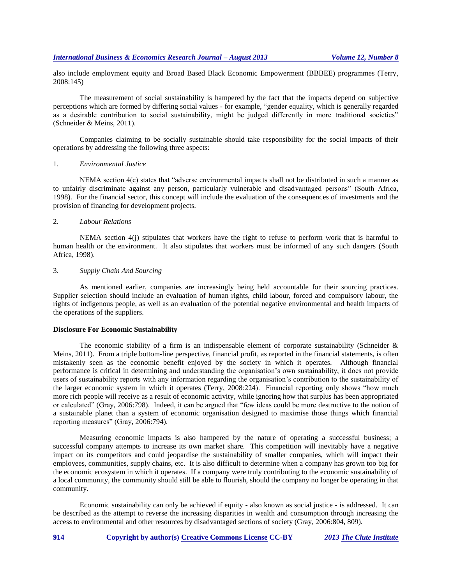also include employment equity and Broad Based Black Economic Empowerment (BBBEE) programmes (Terry, 2008:145)

The measurement of social sustainability is hampered by the fact that the impacts depend on subjective perceptions which are formed by differing social values - for example, "gender equality, which is generally regarded as a desirable contribution to social sustainability, might be judged differently in more traditional societies" (Schneider & Meins, 2011).

Companies claiming to be socially sustainable should take responsibility for the social impacts of their operations by addressing the following three aspects:

#### 1. *Environmental Justice*

NEMA section 4(c) states that "adverse environmental impacts shall not be distributed in such a manner as to unfairly discriminate against any person, particularly vulnerable and disadvantaged persons" (South Africa, 1998). For the financial sector, this concept will include the evaluation of the consequences of investments and the provision of financing for development projects.

#### 2. *Labour Relations*

NEMA section 4(j) stipulates that workers have the right to refuse to perform work that is harmful to human health or the environment. It also stipulates that workers must be informed of any such dangers (South Africa, 1998).

#### 3. *Supply Chain And Sourcing*

As mentioned earlier, companies are increasingly being held accountable for their sourcing practices. Supplier selection should include an evaluation of human rights, child labour, forced and compulsory labour, the rights of indigenous people, as well as an evaluation of the potential negative environmental and health impacts of the operations of the suppliers.

# **Disclosure For Economic Sustainability**

The economic stability of a firm is an indispensable element of corporate sustainability (Schneider  $\&$ Meins, 2011). From a triple bottom-line perspective, financial profit, as reported in the financial statements, is often mistakenly seen as the economic benefit enjoyed by the society in which it operates. Although financial performance is critical in determining and understanding the organisation's own sustainability, it does not provide users of sustainability reports with any information regarding the organisation's contribution to the sustainability of the larger economic system in which it operates (Terry, 2008:224). Financial reporting only shows "how much more rich people will receive as a result of economic activity, while ignoring how that surplus has been appropriated or calculated" (Gray, 2006:798). Indeed, it can be argued that "few ideas could be more destructive to the notion of a sustainable planet than a system of economic organisation designed to maximise those things which financial reporting measures" (Gray, 2006:794).

Measuring economic impacts is also hampered by the nature of operating a successful business; a successful company attempts to increase its own market share. This competition will inevitably have a negative impact on its competitors and could jeopardise the sustainability of smaller companies, which will impact their employees, communities, supply chains, etc. It is also difficult to determine when a company has grown too big for the economic ecosystem in which it operates. If a company were truly contributing to the economic sustainability of a local community, the community should still be able to flourish, should the company no longer be operating in that community.

Economic sustainability can only be achieved if equity - also known as social justice - is addressed. It can be described as the attempt to reverse the increasing disparities in wealth and consumption through increasing the access to environmental and other resources by disadvantaged sections of society (Gray, 2006:804, 809).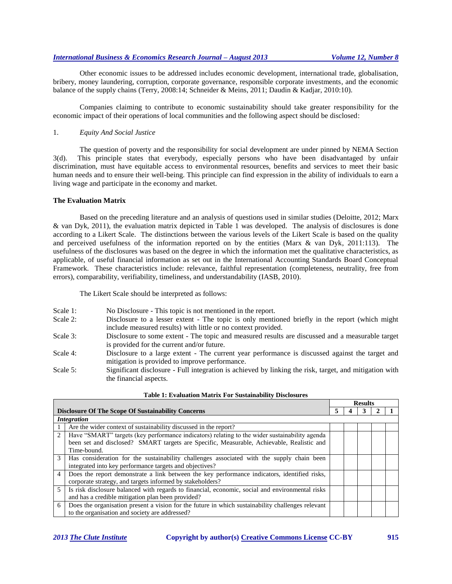Other economic issues to be addressed includes economic development, international trade, globalisation, bribery, money laundering, corruption, corporate governance, responsible corporate investments, and the economic balance of the supply chains (Terry, 2008:14; Schneider & Meins, 2011; Daudin & Kadjar, 2010:10).

Companies claiming to contribute to economic sustainability should take greater responsibility for the economic impact of their operations of local communities and the following aspect should be disclosed:

# 1. *Equity And Social Justice*

The question of poverty and the responsibility for social development are under pinned by NEMA Section 3(d). This principle states that everybody, especially persons who have been disadvantaged by unfair discrimination, must have equitable access to environmental resources, benefits and services to meet their basic human needs and to ensure their well-being. This principle can find expression in the ability of individuals to earn a living wage and participate in the economy and market.

#### **The Evaluation Matrix**

Based on the preceding literature and an analysis of questions used in similar studies (Deloitte, 2012; Marx & van Dyk, 2011), the evaluation matrix depicted in Table 1 was developed. The analysis of disclosures is done according to a Likert Scale. The distinctions between the various levels of the Likert Scale is based on the quality and perceived usefulness of the information reported on by the entities (Marx & van Dyk, 2011:113). The usefulness of the disclosures was based on the degree in which the information met the qualitative characteristics, as applicable, of useful financial information as set out in the International Accounting Standards Board Conceptual Framework. These characteristics include: relevance, faithful representation (completeness, neutrality, free from errors), comparability, verifiability, timeliness, and understandability (IASB, 2010).

The Likert Scale should be interpreted as follows:

| No Disclosure - This topic is not mentioned in the report. | Scale 1: |  |  |  |
|------------------------------------------------------------|----------|--|--|--|
|------------------------------------------------------------|----------|--|--|--|

- Scale 2: Disclosure to a lesser extent The topic is only mentioned briefly in the report (which might include measured results) with little or no context provided.
- Scale 3: Disclosure to some extent The topic and measured results are discussed and a measurable target is provided for the current and/or future.
- Scale 4: Disclosure to a large extent The current year performance is discussed against the target and mitigation is provided to improve performance.
- Scale 5: Significant disclosure Full integration is achieved by linking the risk, target, and mitigation with the financial aspects.

|                                                           |                                                                                                   |  |  | <b>Results</b> |  |  |
|-----------------------------------------------------------|---------------------------------------------------------------------------------------------------|--|--|----------------|--|--|
| <b>Disclosure Of The Scope Of Sustainability Concerns</b> |                                                                                                   |  |  |                |  |  |
|                                                           | <i>Integration</i>                                                                                |  |  |                |  |  |
|                                                           | Are the wider context of sustainability discussed in the report?                                  |  |  |                |  |  |
| 2                                                         | Have "SMART" targets (key performance indicators) relating to the wider sustainability agenda     |  |  |                |  |  |
|                                                           | been set and disclosed? SMART targets are Specific, Measurable, Achievable, Realistic and         |  |  |                |  |  |
|                                                           | Time-bound.                                                                                       |  |  |                |  |  |
| 3                                                         | Has consideration for the sustainability challenges associated with the supply chain been         |  |  |                |  |  |
|                                                           | integrated into key performance targets and objectives?                                           |  |  |                |  |  |
| 4                                                         | Does the report demonstrate a link between the key performance indicators, identified risks,      |  |  |                |  |  |
|                                                           | corporate strategy, and targets informed by stakeholders?                                         |  |  |                |  |  |
| $\mathcal{F}$                                             | Is risk disclosure balanced with regards to financial, economic, social and environmental risks   |  |  |                |  |  |
|                                                           | and has a credible mitigation plan been provided?                                                 |  |  |                |  |  |
| 6                                                         | Does the organisation present a vision for the future in which sustainability challenges relevant |  |  |                |  |  |
|                                                           | to the organisation and society are addressed?                                                    |  |  |                |  |  |

#### **Table 1: Evaluation Matrix For Sustainability Disclosures**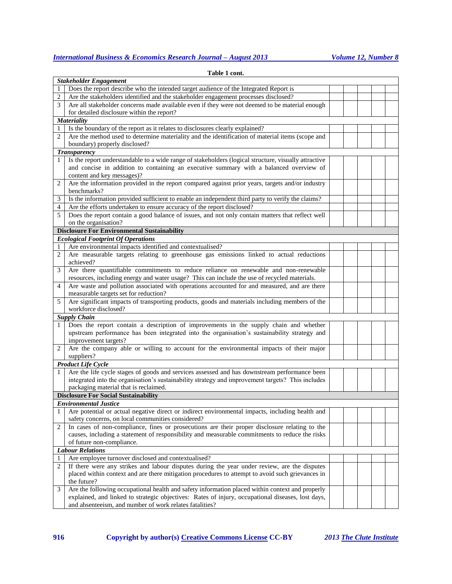|                | Table 1 cont.                                                                                        |  |  |  |
|----------------|------------------------------------------------------------------------------------------------------|--|--|--|
|                | <b>Stakeholder Engagement</b>                                                                        |  |  |  |
| 1              | Does the report describe who the intended target audience of the Integrated Report is                |  |  |  |
| 2              | Are the stakeholders identified and the stakeholder engagement processes disclosed?                  |  |  |  |
| 3              | Are all stakeholder concerns made available even if they were not deemed to be material enough       |  |  |  |
|                | for detailed disclosure within the report?                                                           |  |  |  |
|                | <b>Materiality</b>                                                                                   |  |  |  |
| 1              | Is the boundary of the report as it relates to disclosures clearly explained?                        |  |  |  |
| $\overline{c}$ | Are the method used to determine materiality and the identification of material items (scope and     |  |  |  |
|                | boundary) properly disclosed?                                                                        |  |  |  |
|                | <b>Transparency</b>                                                                                  |  |  |  |
| 1              | Is the report understandable to a wide range of stakeholders (logical structure, visually attractive |  |  |  |
|                | and concise in addition to containing an executive summary with a balanced overview of               |  |  |  |
|                | content and key messages)?                                                                           |  |  |  |
| 2              | Are the information provided in the report compared against prior years, targets and/or industry     |  |  |  |
|                | benchmarks?                                                                                          |  |  |  |
| 3              | Is the information provided sufficient to enable an independent third party to verify the claims?    |  |  |  |
| 4              | Are the efforts undertaken to ensure accuracy of the report disclosed?                               |  |  |  |
| 5              | Does the report contain a good balance of issues, and not only contain matters that reflect well     |  |  |  |
|                | on the organisation?                                                                                 |  |  |  |
|                | <b>Disclosure For Environmental Sustainability</b>                                                   |  |  |  |
|                | <b>Ecological Footprint Of Operations</b>                                                            |  |  |  |
| 1              | Are environmental impacts identified and contextualised?                                             |  |  |  |
| 2              | Are measurable targets relating to greenhouse gas emissions linked to actual reductions              |  |  |  |
|                | achieved?                                                                                            |  |  |  |
| 3              | Are there quantifiable commitments to reduce reliance on renewable and non-renewable                 |  |  |  |
|                | resources, including energy and water usage? This can include the use of recycled materials.         |  |  |  |
| 4              | Are waste and pollution associated with operations accounted for and measured, and are there         |  |  |  |
|                | measurable targets set for reduction?                                                                |  |  |  |
| 5              | Are significant impacts of transporting products, goods and materials including members of the       |  |  |  |
|                | workforce disclosed?                                                                                 |  |  |  |
|                | <b>Supply Chain</b>                                                                                  |  |  |  |
| 1              | Does the report contain a description of improvements in the supply chain and whether                |  |  |  |
|                | upstream performance has been integrated into the organisation's sustainability strategy and         |  |  |  |
|                | improvement targets?                                                                                 |  |  |  |
| 2              | Are the company able or willing to account for the environmental impacts of their major              |  |  |  |
|                | suppliers?                                                                                           |  |  |  |
|                | <b>Product Life Cycle</b>                                                                            |  |  |  |
| 1              | Are the life cycle stages of goods and services assessed and has downstream performance been         |  |  |  |
|                | integrated into the organisation's sustainability strategy and improvement targets? This includes    |  |  |  |
|                | packaging material that is reclaimed.                                                                |  |  |  |
|                | <b>Disclosure For Social Sustainability</b>                                                          |  |  |  |
|                | <b>Environmental Justice</b>                                                                         |  |  |  |
| 1              | Are potential or actual negative direct or indirect environmental impacts, including health and      |  |  |  |
|                | safety concerns, on local communities considered?                                                    |  |  |  |
| 2              | In cases of non-compliance, fines or prosecutions are their proper disclosure relating to the        |  |  |  |
|                | causes, including a statement of responsibility and measurable commitments to reduce the risks       |  |  |  |
|                | of future non-compliance.                                                                            |  |  |  |
|                | <b>Labour Relations</b>                                                                              |  |  |  |
| 1              | Are employee turnover disclosed and contextualised?                                                  |  |  |  |
| 2              | If there were any strikes and labour disputes during the year under review, are the disputes         |  |  |  |
|                | placed within context and are there mitigation procedures to attempt to avoid such grievances in     |  |  |  |
|                | the future?                                                                                          |  |  |  |
| 3              | Are the following occupational health and safety information placed within context and properly      |  |  |  |
|                | explained, and linked to strategic objectives: Rates of injury, occupational diseases, lost days,    |  |  |  |
|                | and absenteeism, and number of work relates fatalities?                                              |  |  |  |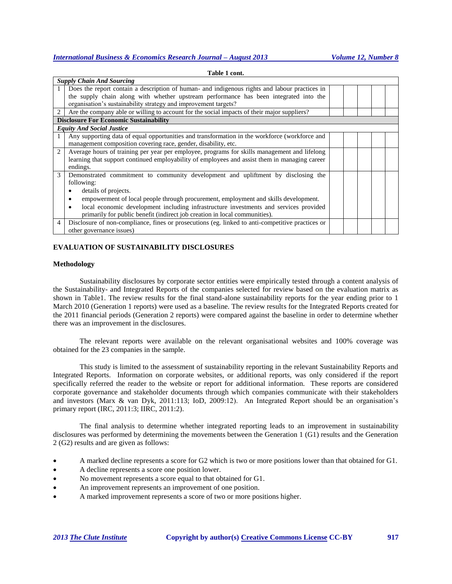|                | <b>Supply Chain And Sourcing</b>                                                                 |  |  |  |
|----------------|--------------------------------------------------------------------------------------------------|--|--|--|
|                | Does the report contain a description of human- and indigenous rights and labour practices in    |  |  |  |
|                | the supply chain along with whether upstream performance has been integrated into the            |  |  |  |
|                | organisation's sustainability strategy and improvement targets?                                  |  |  |  |
| 2              | Are the company able or willing to account for the social impacts of their major suppliers?      |  |  |  |
|                | <b>Disclosure For Economic Sustainability</b>                                                    |  |  |  |
|                | <b>Equity And Social Justice</b>                                                                 |  |  |  |
|                | Any supporting data of equal opportunities and transformation in the workforce (workforce and    |  |  |  |
|                | management composition covering race, gender, disability, etc.                                   |  |  |  |
| $\overline{2}$ | Average hours of training per year per employee, programs for skills management and lifelong     |  |  |  |
|                | learning that support continued employability of employees and assist them in managing career    |  |  |  |
|                | endings.                                                                                         |  |  |  |
| $\mathcal{F}$  | Demonstrated commitment to community development and upliftment by disclosing the                |  |  |  |
|                | following:                                                                                       |  |  |  |
|                | details of projects.                                                                             |  |  |  |
|                | empowerment of local people through procurement, employment and skills development.              |  |  |  |
|                | local economic development including infrastructure investments and services provided            |  |  |  |
|                | primarily for public benefit (indirect job creation in local communities).                       |  |  |  |
| 4              | Disclosure of non-compliance, fines or prosecutions (eg. linked to anti-competitive practices or |  |  |  |
|                | other governance issues)                                                                         |  |  |  |
|                |                                                                                                  |  |  |  |

**Table 1 cont.**

# **EVALUATION OF SUSTAINABILITY DISCLOSURES**

#### **Methodology**

Sustainability disclosures by corporate sector entities were empirically tested through a content analysis of the Sustainability- and Integrated Reports of the companies selected for review based on the evaluation matrix as shown in Table1. The review results for the final stand-alone sustainability reports for the year ending prior to 1 March 2010 (Generation 1 reports) were used as a baseline. The review results for the Integrated Reports created for the 2011 financial periods (Generation 2 reports) were compared against the baseline in order to determine whether there was an improvement in the disclosures.

The relevant reports were available on the relevant organisational websites and 100% coverage was obtained for the 23 companies in the sample.

This study is limited to the assessment of sustainability reporting in the relevant Sustainability Reports and Integrated Reports. Information on corporate websites, or additional reports, was only considered if the report specifically referred the reader to the website or report for additional information. These reports are considered corporate governance and stakeholder documents through which companies communicate with their stakeholders and investors (Marx & van Dyk, 2011:113; IoD, 2009:12). An Integrated Report should be an organisation's primary report (IRC, 2011:3; IIRC, 2011:2).

The final analysis to determine whether integrated reporting leads to an improvement in sustainability disclosures was performed by determining the movements between the Generation 1 (G1) results and the Generation 2 (G2) results and are given as follows:

- A marked decline represents a score for G2 which is two or more positions lower than that obtained for G1.
- A decline represents a score one position lower.
- No movement represents a score equal to that obtained for G1.
- An improvement represents an improvement of one position.
- A marked improvement represents a score of two or more positions higher.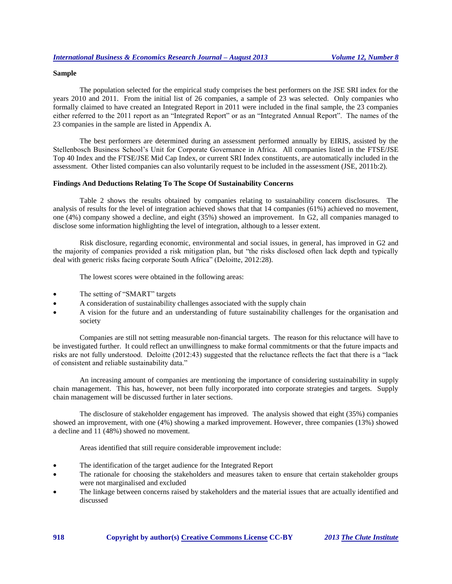#### **Sample**

The population selected for the empirical study comprises the best performers on the JSE SRI index for the years 2010 and 2011. From the initial list of 26 companies, a sample of 23 was selected. Only companies who formally claimed to have created an Integrated Report in 2011 were included in the final sample, the 23 companies either referred to the 2011 report as an "Integrated Report" or as an "Integrated Annual Report". The names of the 23 companies in the sample are listed in Appendix A.

The best performers are determined during an assessment performed annually by EIRIS, assisted by the Stellenbosch Business School's Unit for Corporate Governance in Africa. All companies listed in the FTSE/JSE Top 40 Index and the FTSE/JSE Mid Cap Index, or current SRI Index constituents, are automatically included in the assessment. Other listed companies can also voluntarily request to be included in the assessment (JSE, 2011b:2).

#### **Findings And Deductions Relating To The Scope Of Sustainability Concerns**

Table 2 shows the results obtained by companies relating to sustainability concern disclosures. The analysis of results for the level of integration achieved shows that that 14 companies (61%) achieved no movement, one (4%) company showed a decline, and eight (35%) showed an improvement. In G2, all companies managed to disclose some information highlighting the level of integration, although to a lesser extent.

Risk disclosure, regarding economic, environmental and social issues, in general, has improved in G2 and the majority of companies provided a risk mitigation plan, but "the risks disclosed often lack depth and typically deal with generic risks facing corporate South Africa" (Deloitte, 2012:28).

The lowest scores were obtained in the following areas:

- The setting of "SMART" targets
- A consideration of sustainability challenges associated with the supply chain
- A vision for the future and an understanding of future sustainability challenges for the organisation and society

Companies are still not setting measurable non-financial targets. The reason for this reluctance will have to be investigated further. It could reflect an unwillingness to make formal commitments or that the future impacts and risks are not fully understood. Deloitte (2012:43) suggested that the reluctance reflects the fact that there is a "lack of consistent and reliable sustainability data."

An increasing amount of companies are mentioning the importance of considering sustainability in supply chain management. This has, however, not been fully incorporated into corporate strategies and targets. Supply chain management will be discussed further in later sections.

The disclosure of stakeholder engagement has improved. The analysis showed that eight (35%) companies showed an improvement, with one (4%) showing a marked improvement. However, three companies (13%) showed a decline and 11 (48%) showed no movement.

Areas identified that still require considerable improvement include:

- The identification of the target audience for the Integrated Report
- The rationale for choosing the stakeholders and measures taken to ensure that certain stakeholder groups were not marginalised and excluded
- The linkage between concerns raised by stakeholders and the material issues that are actually identified and discussed

**918 Copyright by author(s) Creative Commons License CC-BY** *2013 The Clute Institute*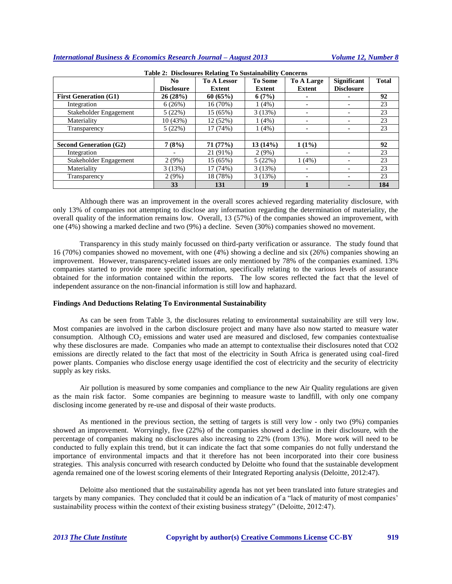|                               | N <sub>0</sub>    | <b>To A Lessor</b> | <b>To Some</b> | To A Large               | <b>Significant</b> | <b>Total</b> |
|-------------------------------|-------------------|--------------------|----------------|--------------------------|--------------------|--------------|
|                               | <b>Disclosure</b> | Extent             | Extent         | <b>Extent</b>            | <b>Disclosure</b>  |              |
| <b>First Generation (G1)</b>  | 26(28%)           | 60(65%)            | 6(7%)          |                          |                    | 92           |
| Integration                   | 6(26%)            | 16(70%)            | 1(4%)          |                          |                    | 23           |
| Stakeholder Engagement        | 5(22%)            | 15 (65%)           | 3(13%)         |                          |                    | 23           |
| Materiality                   | 10(43%)           | 12(52%)            | 1(4%)          | $\overline{\phantom{0}}$ |                    | 23           |
| Transparency                  | 5(22%)            | 17(74%)            | 1(4%)          |                          |                    | 23           |
|                               |                   |                    |                |                          |                    |              |
| <b>Second Generation (G2)</b> | 7(8%)             | 71(77%)            | 13(14%)        | $1(1\%)$                 |                    | 92           |
| Integration                   |                   | 21 (91%)           | 2(9%)          |                          |                    | 23           |
| Stakeholder Engagement        | 2(9%)             | 15 (65%)           | 5(22%)         | 1(4%)                    |                    | 23           |
| Materiality                   | 3(13%)            | 17(74%)            | 3(13%)         |                          |                    | 23           |
| Transparency                  | 2(9%)             | 18 (78%)           | 3(13%)         |                          |                    | 23           |
|                               | 33                | 131                | 19             |                          |                    | 184          |

**Table 2: Disclosures Relating To Sustainability Concerns**

Although there was an improvement in the overall scores achieved regarding materiality disclosure, with only 13% of companies not attempting to disclose any information regarding the determination of materiality, the overall quality of the information remains low. Overall, 13 (57%) of the companies showed an improvement, with one (4%) showing a marked decline and two (9%) a decline. Seven (30%) companies showed no movement.

Transparency in this study mainly focussed on third-party verification or assurance. The study found that 16 (70%) companies showed no movement, with one (4%) showing a decline and six (26%) companies showing an improvement. However, transparency-related issues are only mentioned by 78% of the companies examined. 13% companies started to provide more specific information, specifically relating to the various levels of assurance obtained for the information contained within the reports. The low scores reflected the fact that the level of independent assurance on the non-financial information is still low and haphazard.

#### **Findings And Deductions Relating To Environmental Sustainability**

As can be seen from Table 3, the disclosures relating to environmental sustainability are still very low. Most companies are involved in the carbon disclosure project and many have also now started to measure water consumption. Although  $CO<sub>2</sub>$  emissions and water used are measured and disclosed, few companies contextualise why these disclosures are made. Companies who made an attempt to contextualise their disclosures noted that CO2 emissions are directly related to the fact that most of the electricity in South Africa is generated using coal-fired power plants. Companies who disclose energy usage identified the cost of electricity and the security of electricity supply as key risks.

Air pollution is measured by some companies and compliance to the new Air Quality regulations are given as the main risk factor. Some companies are beginning to measure waste to landfill, with only one company disclosing income generated by re-use and disposal of their waste products.

As mentioned in the previous section, the setting of targets is still very low - only two (9%) companies showed an improvement. Worryingly, five (22%) of the companies showed a decline in their disclosure, with the percentage of companies making no disclosures also increasing to 22% (from 13%). More work will need to be conducted to fully explain this trend, but it can indicate the fact that some companies do not fully understand the importance of environmental impacts and that it therefore has not been incorporated into their core business strategies. This analysis concurred with research conducted by Deloitte who found that the sustainable development agenda remained one of the lowest scoring elements of their Integrated Reporting analysis (Deloitte, 2012:47).

Deloitte also mentioned that the sustainability agenda has not yet been translated into future strategies and targets by many companies. They concluded that it could be an indication of a "lack of maturity of most companies' sustainability process within the context of their existing business strategy" (Deloitte, 2012:47).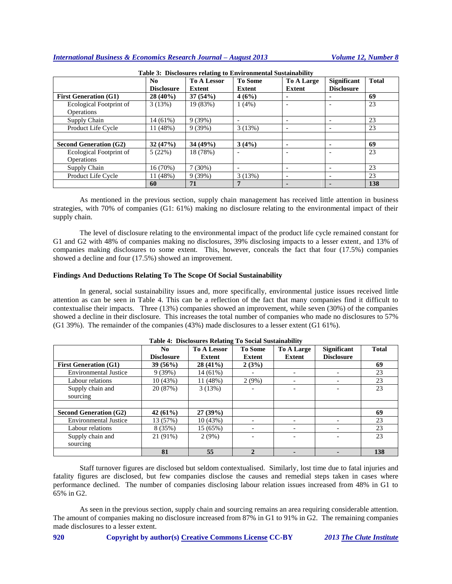|                                              | No<br><b>Disclosure</b> | <b>To A Lessor</b><br><b>Extent</b> | <b>To Some</b><br><b>Extent</b> | <b>To A Large</b><br><b>Extent</b> | <b>Significant</b><br><b>Disclosure</b> | <b>Total</b> |
|----------------------------------------------|-------------------------|-------------------------------------|---------------------------------|------------------------------------|-----------------------------------------|--------------|
| <b>First Generation (G1)</b>                 | $28(40\%)$              | 37(54%)                             | 4(6%)                           | ۰                                  |                                         | 69           |
| Ecological Footprint of<br><b>Operations</b> | 3(13%)                  | 19 (83%)                            | $1(4\%)$                        |                                    |                                         | 23           |
| Supply Chain                                 | 14 (61%)                | 9(39%)                              |                                 |                                    |                                         | 23           |
| Product Life Cycle                           | 11(48%)                 | 9(39%)                              | 3(13%)                          | ۰                                  |                                         | 23           |
|                                              |                         |                                     |                                 |                                    |                                         |              |
| <b>Second Generation (G2)</b>                | 32(47%)                 | 34(49%)                             | 3(4%)                           | ۰                                  |                                         | 69           |
| Ecological Footprint of                      | 5(22%)                  | 18 (78%)                            |                                 |                                    |                                         | 23           |
| Operations                                   |                         |                                     |                                 |                                    |                                         |              |
| Supply Chain                                 | 16 (70%)                | 7(30%)                              |                                 | $\overline{\phantom{0}}$           |                                         | 23           |
| Product Life Cycle                           | 11 (48%)                | 9(39%)                              | 3(13%)                          | $\overline{\phantom{0}}$           |                                         | 23           |
|                                              | 60                      | 71                                  |                                 | -                                  |                                         | 138          |

**Table 3: Disclosures relating to Environmental Sustainability**

As mentioned in the previous section, supply chain management has received little attention in business strategies, with 70% of companies (G1: 61%) making no disclosure relating to the environmental impact of their supply chain.

The level of disclosure relating to the environmental impact of the product life cycle remained constant for G1 and G2 with 48% of companies making no disclosures, 39% disclosing impacts to a lesser extent, and 13% of companies making disclosures to some extent. This, however, conceals the fact that four (17.5%) companies showed a decline and four (17.5%) showed an improvement.

#### **Findings And Deductions Relating To The Scope Of Social Sustainability**

In general, social sustainability issues and, more specifically, environmental justice issues received little attention as can be seen in Table 4. This can be a reflection of the fact that many companies find it difficult to contextualise their impacts. Three (13%) companies showed an improvement, while seven (30%) of the companies showed a decline in their disclosure. This increases the total number of companies who made no disclosures to 57% (G1 39%). The remainder of the companies (43%) made disclosures to a lesser extent (G1 61%).

|                               | No.<br><b>Disclosure</b> | <b>To A Lessor</b><br><b>Extent</b> | <b>To Some</b><br><b>Extent</b> | <b>To A Large</b><br><b>Extent</b> | <b>Significant</b><br><b>Disclosure</b> | <b>Total</b> |
|-------------------------------|--------------------------|-------------------------------------|---------------------------------|------------------------------------|-----------------------------------------|--------------|
| <b>First Generation (G1)</b>  | 39(56%)                  | $28(41\%)$                          | 2(3%)                           |                                    |                                         | 69           |
| <b>Environmental Justice</b>  | 9(39%)                   | $14(61\%)$                          |                                 |                                    |                                         | 23           |
| Labour relations              | 10(43%)                  | 11(48%)                             | 2(9%)                           |                                    |                                         | 23           |
| Supply chain and              | 20 (87%)                 | 3(13%)                              |                                 |                                    |                                         | 23           |
| sourcing                      |                          |                                     |                                 |                                    |                                         |              |
|                               |                          |                                     |                                 |                                    |                                         |              |
| <b>Second Generation (G2)</b> | 42(61%)                  | 27(39%)                             |                                 |                                    |                                         | 69           |
| <b>Environmental Justice</b>  | 13 (57%)                 | 10(43%)                             |                                 |                                    |                                         | 23           |
| Labour relations              | 8 (35%)                  | 15 (65%)                            |                                 |                                    |                                         | 23           |
| Supply chain and              | 21 (91%)                 | 2(9%)                               |                                 |                                    |                                         | 23           |
| sourcing                      |                          |                                     |                                 |                                    |                                         |              |
|                               | 81                       | 55                                  |                                 |                                    |                                         | 138          |

| Table 4: Disclosures Relating To Social Sustainability |  |  |  |
|--------------------------------------------------------|--|--|--|
|                                                        |  |  |  |

Staff turnover figures are disclosed but seldom contextualised. Similarly, lost time due to fatal injuries and fatality figures are disclosed, but few companies disclose the causes and remedial steps taken in cases where performance declined. The number of companies disclosing labour relation issues increased from 48% in G1 to 65% in G2.

As seen in the previous section, supply chain and sourcing remains an area requiring considerable attention. The amount of companies making no disclosure increased from 87% in G1 to 91% in G2. The remaining companies made disclosures to a lesser extent.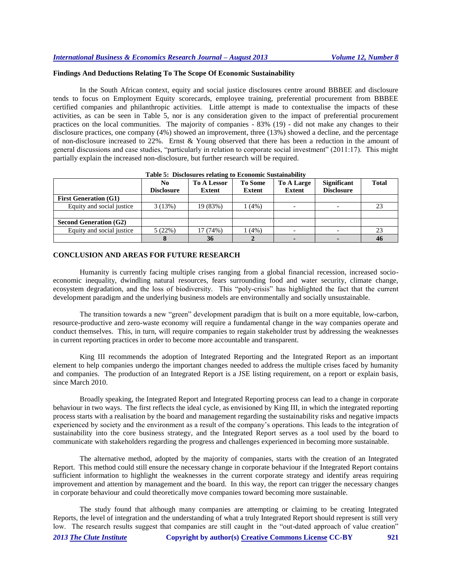# **Findings And Deductions Relating To The Scope Of Economic Sustainability**

In the South African context, equity and social justice disclosures centre around BBBEE and disclosure tends to focus on Employment Equity scorecards, employee training, preferential procurement from BBBEE certified companies and philanthropic activities. Little attempt is made to contextualise the impacts of these activities, as can be seen in Table 5, nor is any consideration given to the impact of preferential procurement practices on the local communities. The majority of companies - 83% (19) - did not make any changes to their disclosure practices, one company (4%) showed an improvement, three (13%) showed a decline, and the percentage of non-disclosure increased to 22%. Ernst & Young observed that there has been a reduction in the amount of general discussions and case studies, "particularly in relation to corporate social investment" (2011:17). This might partially explain the increased non-disclosure, but further research will be required.

|                               | No.<br><b>Disclosure</b> | <b>To A Lessor</b><br>Extent | <b>To Some</b><br>Extent | <b>To A Large</b><br><b>Extent</b> | <b>Significant</b><br><b>Disclosure</b> | <b>Total</b> |
|-------------------------------|--------------------------|------------------------------|--------------------------|------------------------------------|-----------------------------------------|--------------|
| <b>First Generation (G1)</b>  |                          |                              |                          |                                    |                                         |              |
| Equity and social justice     | 3(13%)                   | 19 (83%)                     | (4%)                     |                                    |                                         | 23           |
|                               |                          |                              |                          |                                    |                                         |              |
| <b>Second Generation (G2)</b> |                          |                              |                          |                                    |                                         |              |
| Equity and social justice     | 5(22%)                   | 17 (74%)                     | $(4\%)$                  |                                    |                                         | 23           |
|                               |                          | 36                           |                          |                                    |                                         | 46           |

# **Table 5: Disclosures relating to Economic Sustainability**

#### **CONCLUSION AND AREAS FOR FUTURE RESEARCH**

Humanity is currently facing multiple crises ranging from a global financial recession, increased socioeconomic inequality, dwindling natural resources, fears surrounding food and water security, climate change, ecosystem degradation, and the loss of biodiversity. This "poly-crisis" has highlighted the fact that the current development paradigm and the underlying business models are environmentally and socially unsustainable.

The transition towards a new "green" development paradigm that is built on a more equitable, low-carbon, resource-productive and zero-waste economy will require a fundamental change in the way companies operate and conduct themselves. This, in turn, will require companies to regain stakeholder trust by addressing the weaknesses in current reporting practices in order to become more accountable and transparent.

King III recommends the adoption of Integrated Reporting and the Integrated Report as an important element to help companies undergo the important changes needed to address the multiple crises faced by humanity and companies. The production of an Integrated Report is a JSE listing requirement, on a report or explain basis, since March 2010.

Broadly speaking, the Integrated Report and Integrated Reporting process can lead to a change in corporate behaviour in two ways. The first reflects the ideal cycle, as envisioned by King III, in which the integrated reporting process starts with a realisation by the board and management regarding the sustainability risks and negative impacts experienced by society and the environment as a result of the company's operations. This leads to the integration of sustainability into the core business strategy, and the Integrated Report serves as a tool used by the board to communicate with stakeholders regarding the progress and challenges experienced in becoming more sustainable.

The alternative method, adopted by the majority of companies, starts with the creation of an Integrated Report. This method could still ensure the necessary change in corporate behaviour if the Integrated Report contains sufficient information to highlight the weaknesses in the current corporate strategy and identify areas requiring improvement and attention by management and the board. In this way, the report can trigger the necessary changes in corporate behaviour and could theoretically move companies toward becoming more sustainable.

The study found that although many companies are attempting or claiming to be creating Integrated Reports, the level of integration and the understanding of what a truly Integrated Report should represent is still very low. The research results suggest that companies are still caught in the "out-dated approach of value creation"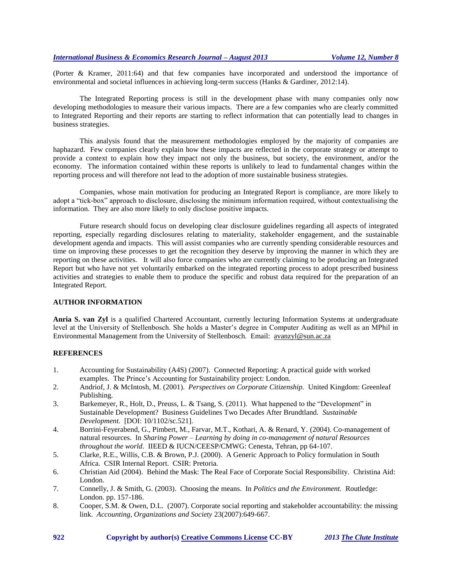(Porter & Kramer, 2011:64) and that few companies have incorporated and understood the importance of environmental and societal influences in achieving long-term success (Hanks & Gardiner, 2012:14).

The Integrated Reporting process is still in the development phase with many companies only now developing methodologies to measure their various impacts. There are a few companies who are clearly committed to Integrated Reporting and their reports are starting to reflect information that can potentially lead to changes in business strategies.

This analysis found that the measurement methodologies employed by the majority of companies are haphazard. Few companies clearly explain how these impacts are reflected in the corporate strategy or attempt to provide a context to explain how they impact not only the business, but society, the environment, and/or the economy. The information contained within these reports is unlikely to lead to fundamental changes within the reporting process and will therefore not lead to the adoption of more sustainable business strategies.

Companies, whose main motivation for producing an Integrated Report is compliance, are more likely to adopt a "tick-box" approach to disclosure, disclosing the minimum information required, without contextualising the information. They are also more likely to only disclose positive impacts.

Future research should focus on developing clear disclosure guidelines regarding all aspects of integrated reporting, especially regarding disclosures relating to materiality, stakeholder engagement, and the sustainable development agenda and impacts. This will assist companies who are currently spending considerable resources and time on improving these processes to get the recognition they deserve by improving the manner in which they are reporting on these activities. It will also force companies who are currently claiming to be producing an Integrated Report but who have not yet voluntarily embarked on the integrated reporting process to adopt prescribed business activities and strategies to enable them to produce the specific and robust data required for the preparation of an Integrated Report.

#### **AUTHOR INFORMATION**

**Anria S. van Zyl** is a qualified Chartered Accountant, currently lecturing Information Systems at undergraduate level at the University of Stellenbosch. She holds a Master's degree in Computer Auditing as well as an MPhil in Environmental Management from the University of Stellenbosch. Email: [avanzyl@sun.ac.za](mailto:avanzyl@sun.ac.za)

# **REFERENCES**

- 1. Accounting for Sustainability (A4S) (2007). Connected Reporting: A practical guide with worked examples.The Prince's Accounting for Sustainability project: London.
- 2. Andriof, J. & McIntosh, M. (2001). *Perspectives on Corporate Citizenship.* United Kingdom: Greenleaf Publishing.
- 3. Barkemeyer, R., Holt, D., Preuss, L. & Tsang, S. (2011). What happened to the "Development" in Sustainable Development? Business Guidelines Two Decades After Brundtland. *Sustainable Development.* [DOI: 10/1102/sc.521].
- 4. Borrini-Feyerabend, G., Pimbert, M., Farvar, M.T., Kothari, A. & Renard, Y. (2004). Co-management of natural resources. In *Sharing Power – Learning by doing in co-management of natural Resources throughout the world*. IIEED & IUCN/CEESP/CMWG: Cenesta, Tehran, pp 64-107.
- 5. Clarke, R.E., Willis, C.B. & Brown, P.J. (2000). A Generic Approach to Policy formulation in South Africa.CSIR Internal Report. CSIR: Pretoria.
- 6. Christian Aid (2004). Behind the Mask: The Real Face of Corporate Social Responsibility.Christina Aid: London.
- 7. Connelly, J. & Smith, G. (2003). Choosing the means. In *Politics and the Environment.* Routledge: London. pp. 157-186.
- 8. Cooper, S.M. & Owen, D.L. (2007). Corporate social reporting and stakeholder accountability: the missing link. *Accounting, Organizations and Society* 23(2007):649-667.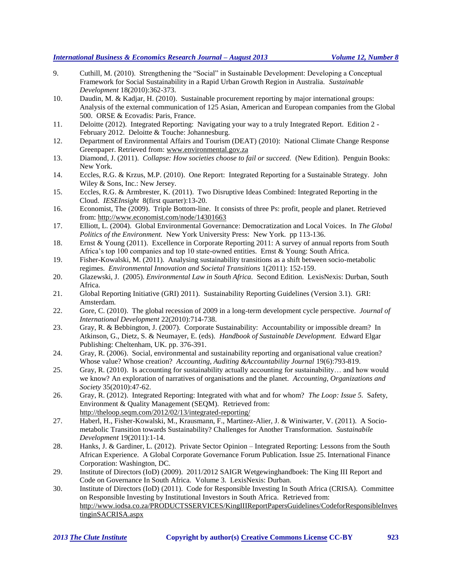- 9. Cuthill, M. (2010). Strengthening the "Social" in Sustainable Development: Developing a Conceptual Framework for Social Sustainability in a Rapid Urban Growth Region in Australia. *Sustainable Development* 18(2010):362-373.
- 10. Daudin, M. & Kadjar, H. (2010). Sustainable procurement reporting by major international groups: Analysis of the external communication of 125 Asian, American and European companies from the Global 500.ORSE & Ecovadis: Paris, France.
- 11. Deloitte (2012). Integrated Reporting: Navigating your way to a truly Integrated Report. Edition 2 February 2012. Deloitte & Touche: Johannesburg.
- 12. Department of Environmental Affairs and Tourism (DEAT) (2010): National Climate Change Response Greenpaper. Retrieved from[: www.environmental.gov.za](http://www.environmental.gov.za/)
- 13. Diamond, J. (2011). *Collapse: How societies choose to fail or succeed.* (New Edition). Penguin Books: New York.
- 14. Eccles, R.G. & Krzus, M.P. (2010). One Report: Integrated Reporting for a Sustainable Strategy. John Wiley & Sons, Inc.: New Jersey.
- 15. Eccles, R.G. & Armbrester, K. (2011). Two Disruptive Ideas Combined: Integrated Reporting in the Cloud. *IESEInsight* 8(first quarter):13-20.
- 16. Economist, The (2009). Triple Bottom-line. It consists of three Ps: profit, people and planet. Retrieved from[: http://www.economist.com/node/14301663](http://www.economist.com/node/14301663)
- 17. Elliott, L. (2004). Global Environmental Governance: Democratization and Local Voices. In *The Global Politics of the Environment.* New York University Press: New York. pp 113-136.
- 18. Ernst & Young (2011). Excellence in Corporate Reporting 2011: A survey of annual reports from South Africa's top 100 companies and top 10 state-owned entities. Ernst & Young: South Africa.
- 19. Fisher-Kowalski, M. (2011). Analysing sustainability transitions as a shift between socio-metabolic regimes. *Environmental Innovation and Societal Transitions* 1(2011): 152-159.
- 20. Glazewski, J. (2005). *Environmental Law in South Africa.* Second Edition. LexisNexis: Durban, South Africa.
- 21. Global Reporting Initiative (GRI) 2011). Sustainability Reporting Guidelines (Version 3.1). GRI: Amsterdam.
- 22. Gore, C. (2010). The global recession of 2009 in a long-term development cycle perspective. *Journal of International Development* 22(2010):714-738.
- 23. Gray, R. & Bebbington, J. (2007). Corporate Sustainability: Accountability or impossible dream? In Atkinson, G., Dietz, S. & Neumayer, E. (eds). *Handbook of Sustainable Development.* Edward Elgar Publishing: Cheltenham, UK. pp. 376-391.
- 24. Gray, R. (2006). Social, environmental and sustainability reporting and organisational value creation? Whose value? Whose creation? *Accounting, Auditing &Accountability Journal* 19(6):793-819.
- 25. Gray, R. (2010). Is accounting for sustainability actually accounting for sustainability… and how would we know? An exploration of narratives of organisations and the planet. *Accounting, Organizations and Society* 35(2010):47-62.
- 26. Gray, R. (2012). Integrated Reporting: Integrated with what and for whom? *The Loop: Issue 5.* Safety, Environment & Quality Management (SEQM). Retrieved from: <http://theloop.seqm.com/2012/02/13/integrated-reporting/>
- 27. Haberl, H., Fisher-Kowalski, M., Krausmann, F., Martinez-Alier, J. & Winiwarter, V. (2011). A Sociometabolic Transition towards Sustainability? Challenges for Another Transformation. *Sustainabile Development* 19(2011):1-14.
- 28. Hanks, J. & Gardiner, L. (2012). Private Sector Opinion Integrated Reporting: Lessons from the South African Experience. A Global Corporate Governance Forum Publication. Issue 25. International Finance Corporation: Washington, DC.
- 29. Institute of Directors (IoD) (2009). 2011/2012 SAIGR Wetgewinghandboek: The King III Report and Code on Governance In South Africa. Volume 3. LexisNexis: Durban.
- 30. Institute of Directors (IoD) (2011). Code for Responsible Investing In South Africa (CRISA). Committee on Responsible Investing by Institutional Investors in South Africa. Retrieved from: [http://www.iodsa.co.za/PRODUCTSSERVICES/KingIIIReportPapersGuidelines/CodeforResponsibleInves](http://www.iodsa.co.za/PRODUCTSSERVICES/KingIIIReportPapersGuidelines/CodeforResponsibleInvestinginSACRISA.aspx) [tinginSACRISA.aspx](http://www.iodsa.co.za/PRODUCTSSERVICES/KingIIIReportPapersGuidelines/CodeforResponsibleInvestinginSACRISA.aspx)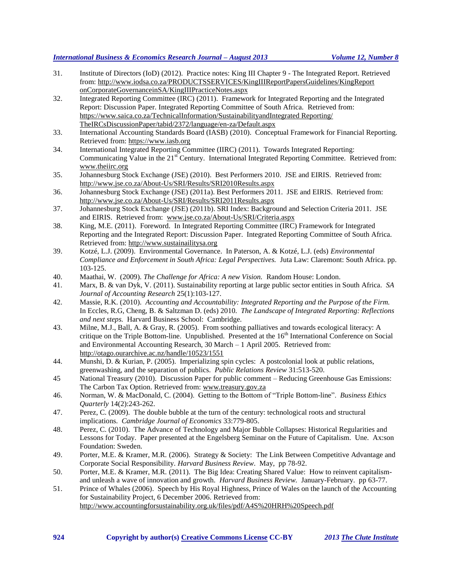- 31. Institute of Directors (IoD) (2012). Practice notes: King III Chapter 9 The Integrated Report. Retrieved from: [http://www.iodsa.co.za/PRODUCTSSERVICES/KingIIIReportPapersGuidelines/KingReport](http://www.iodsa.co.za/PRODUCTSSERVICES/KingIIIReportPapersGuidelines/KingReport%20onCorporateGovernanceinSA/KingIIIPracticeNotes.aspx)  [onCorporateGovernanceinSA/KingIIIPracticeNotes.aspx](http://www.iodsa.co.za/PRODUCTSSERVICES/KingIIIReportPapersGuidelines/KingReport%20onCorporateGovernanceinSA/KingIIIPracticeNotes.aspx)
- 32. Integrated Reporting Committee (IRC) (2011). Framework for Integrated Reporting and the Integrated Report: Discussion Paper. Integrated Reporting Committee of South Africa. Retrieved from: [https://www.saica.co.za/TechnicalInformation/SustainabilityandIntegrated Reporting/](https://www.saica.co.za/TechnicalInformation/SustainabilityandIntegrated%20Reporting/%20TheIRCsDiscussionPaper/tabid/2372/language/en-za/Default.aspx)  [TheIRCsDiscussionPaper/tabid/2372/language/en-za/Default.aspx](https://www.saica.co.za/TechnicalInformation/SustainabilityandIntegrated%20Reporting/%20TheIRCsDiscussionPaper/tabid/2372/language/en-za/Default.aspx)
- 33. International Accounting Standards Board (IASB) (2010). Conceptual Framework for Financial Reporting. Retrieved from: [https://www.iasb.org](https://www.iasb.org/)
- 34. International Integrated Reporting Committee (IIRC) (2011). Towards Integrated Reporting: Communicating Value in the 21<sup>st</sup> Century. International Integrated Reporting Committee. Retrieved from: [www.theiirc.org](http://www.theiirc.org/)
- 35. Johannesburg Stock Exchange (JSE) (2010). Best Performers 2010. JSE and EIRIS. Retrieved from: <http://www.jse.co.za/About-Us/SRI/Results/SRI2010Results.aspx>
- 36. Johannesburg Stock Exchange (JSE) (2011a). Best Performers 2011. JSE and EIRIS. Retrieved from: <http://www.jse.co.za/About-Us/SRI/Results/SRI2011Results.aspx>
- 37. Johannesburg Stock Exchange (JSE) (2011b). SRI Index: Background and Selection Criteria 2011. JSE and EIRIS. Retrieved from: [www.jse.co.za/About-Us/SRI/Criteria.aspx](http://www.jse.co.za/About-Us/SRI/Criteria.aspx)
- 38. King, M.E. (2011). Foreword. In Integrated Reporting Committee (IRC) Framework for Integrated Reporting and the Integrated Report: Discussion Paper. Integrated Reporting Committee of South Africa. Retrieved from: [http://www.sustainailitysa.org](http://www.sustainailitysa.org/)
- 39. Kotzé, L.J. (2009). Environmental Governance. In Paterson, A. & Kotzé, L.J. (eds) *Environmental Compliance and Enforcement in South Africa: Legal Perspectives.* Juta Law: Claremont: South Africa. pp. 103-125.
- 40. Maathai, W. (2009). *The Challenge for Africa: A new Vision.* Random House: London.
- 41. Marx, B. & van Dyk, V. (2011). Sustainability reporting at large public sector entities in South Africa. *SA Journal of Accounting Research* 25(1):103-127.
- 42. Massie, R.K. (2010). *Accounting and Accountability: Integrated Reporting and the Purpose of the Firm.*  In Eccles, R.G, Cheng, B. & Saltzman D. (eds) 2010. *The Landscape of Integrated Reporting: Reflections and next steps.* Harvard Business School: Cambridge.
- 43. Milne, M.J., Ball, A. & Gray, R. (2005). From soothing palliatives and towards ecological literacy: A critique on the Triple Bottom-line. Unpublished. Presented at the  $16<sup>th</sup>$  International Conference on Social and Environmental Accounting Research, 30 March – 1 April 2005. Retrieved from: <http://otago.ourarchive.ac.nz/handle/10523/1551>
- 44. Munshi, D. & Kurian, P. (2005). Imperializing spin cycles: A postcolonial look at public relations, greenwashing, and the separation of publics. *Public Relations Review* 31:513-520.
- 45 National Treasury (2010). Discussion Paper for public comment Reducing Greenhouse Gas Emissions: The Carbon Tax Option. Retrieved from: [www.treasury.gov.za](http://www.treasury.gov.za/)
- 46. Norman, W. & MacDonald, C. (2004). Getting to the Bottom of "Triple Bottom-line". *Business Ethics Quarterly* 14(2):243-262.
- 47. Perez, C. (2009). The double bubble at the turn of the century: technological roots and structural implications. *Cambridge Journal of Economics* 33:779-805.
- 48. Perez, C. (2010). The Advance of Technology and Major Bubble Collapses: Historical Regularities and Lessons for Today.Paper presented at the Engelsberg Seminar on the Future of Capitalism. Une. Ax:son Foundation: Sweden.
- 49. Porter, M.E. & Kramer, M.R. (2006). Strategy & Society: The Link Between Competitive Advantage and Corporate Social Responsibility. *Harvard Business Review*. May, pp 78-92.
- 50. Porter, M.E. & Kramer, M.R. (2011). The Big Idea: Creating Shared Value: How to reinvent capitalismand unleash a wave of innovation and growth. *Harvard Business Review.* January-February. pp 63-77.
- 51. Prince of Whales (2006). Speech by His Royal Highness, Prince of Wales on the launch of the Accounting for Sustainability Project, 6 December 2006. Retrieved from: <http://www.accountingforsustainability.org.uk/files/pdf/A4S%20HRH%20Speech.pdf>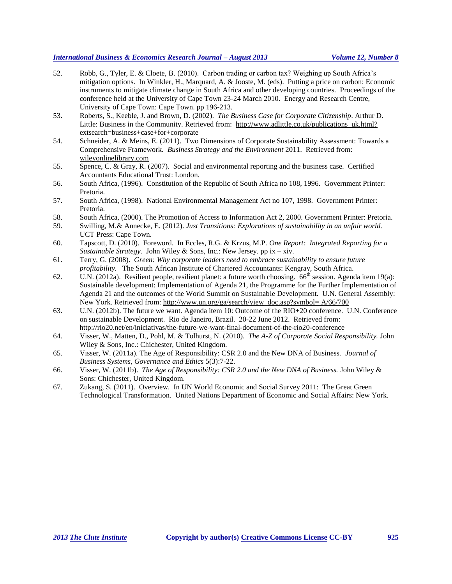- 52. Robb, G., Tyler, E. & Cloete, B. (2010). Carbon trading or carbon tax? Weighing up South Africa's mitigation options. In Winkler, H., Marquard, A. & Jooste, M. (eds). Putting a price on carbon: Economic instruments to mitigate climate change in South Africa and other developing countries.Proceedings of the conference held at the University of Cape Town 23-24 March 2010. Energy and Research Centre, University of Cape Town: Cape Town. pp 196-213.
- 53. Roberts, S., Keeble, J. and Brown, D. (2002). *The Business Case for Corporate Citizenship*. Arthur D. Little: Business in the Community. Retrieved from: http://www.adlittle.co.uk/publications uk.html? extsearch=business+case+for+corporate
- 54. Schneider, A. & Meins, E. (2011). Two Dimensions of Corporate Sustainability Assessment: Towards a Comprehensive Framework. *Business Strategy and the Environment* 2011. Retrieved from: wileyonlinelibrary.com
- 55. Spence, C. & Gray, R. (2007). Social and environmental reporting and the business case. Certified Accountants Educational Trust: London.
- 56. South Africa, (1996). Constitution of the Republic of South Africa no 108, 1996.Government Printer: Pretoria.
- 57. South Africa, (1998). National Environmental Management Act no 107, 1998.Government Printer: Pretoria.
- 58. South Africa, (2000). The Promotion of Access to Information Act 2, 2000. Government Printer: Pretoria.
- 59. Swilling, M.& Annecke, E. (2012). *Just Transitions: Explorations of sustainability in an unfair world.*  UCT Press: Cape Town.
- 60. Tapscott, D. (2010). Foreword. In Eccles, R.G. & Krzus, M.P. *One Report: Integrated Reporting for a Sustainable Strategy.* John Wiley & Sons, Inc.: New Jersey. pp ix – xiv.
- 61. Terry, G. (2008). *Green: Why corporate leaders need to embrace sustainability to ensure future profitability.* The South African Institute of Chartered Accountants: Kengray, South Africa.
- 62. U.N. (2012a). Resilient people, resilient planet: a future worth choosing.  $66<sup>th</sup>$  session. Agenda item 19(a): Sustainable development: Implementation of Agenda 21, the Programme for the Further Implementation of Agenda 21 and the outcomes of the World Summit on Sustainable Development. U.N. General Assembly: New York. Retrieved from: http://www.un.org/ga/search/view\_doc.asp?symbol= A/66/700
- 63. U.N. (2012b). The future we want. Agenda item 10: Outcome of the RIO+20 conference. U.N. Conference on sustainable Development. Rio de Janeiro, Brazil. 20-22 June 2012. Retrieved from: <http://rio20.net/en/iniciativas/the-future-we-want-final-document-of-the-rio20-conference>
- 64. Visser, W., Matten, D., Pohl, M. & Tolhurst, N. (2010). *The A-Z of Corporate Social Responsibility.* John Wiley & Sons, Inc.: Chichester, United Kingdom.
- 65. Visser, W. (2011a). The Age of Responsibility: CSR 2.0 and the New DNA of Business. *Journal of Business Systems, Governance and Ethics* 5(3):7-22.
- 66. Visser, W. (2011b). *The Age of Responsibility: CSR 2.0 and the New DNA of Business.* John Wiley & Sons: Chichester, United Kingdom.
- 67. Zukang, S. (2011). Overview. In UN World Economic and Social Survey 2011: The Great Green Technological Transformation.United Nations Department of Economic and Social Affairs: New York.